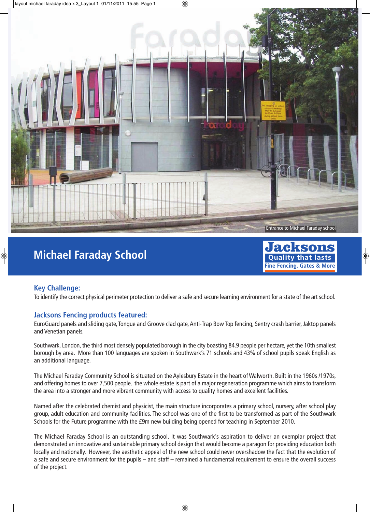

## **Michael Faraday School**



## **Key Challenge:**

To identify the correct physical perimeter protection to deliver a safe and secure learning environment for a state of the art school.

## **Jacksons Fencing products featured:**

EuroGuard panels and sliding gate, Tongue and Groove clad gate, Anti-Trap Bow Top fencing, Sentry crash barrier, Jaktop panels and Venetian panels.

Southwark, London, the third most densely populated borough in the city boasting 84.9 people per hectare, yet the 10th smallest borough by area. More than 100 languages are spoken in Southwark's 71 schools and 43% of school pupils speak English as an additional language.

The Michael Faraday Community School is situated on the Aylesbury Estate in the heart of Walworth. Built in the 1960s /1970s, and offering homes to over 7,500 people, the whole estate is part of a major regeneration programme which aims to transform the area into a stronger and more vibrant community with access to quality homes and excellent facilities.

Named after the celebrated chemist and physicist, the main structure incorporates a primary school, nursery, after school play group, adult education and community facilities. The school was one of the first to be transformed as part of the Southwark Schools for the Future programme with the £9m new building being opened for teaching in September 2010.

The Michael Faraday School is an outstanding school. It was Southwark's aspiration to deliver an exemplar project that demonstrated an innovative and sustainable primary school design that would become a paragon for providing education both locally and nationally. However, the aesthetic appeal of the new school could never overshadow the fact that the evolution of a safe and secure environment for the pupils – and staff – remained a fundamental requirement to ensure the overall success of the project.